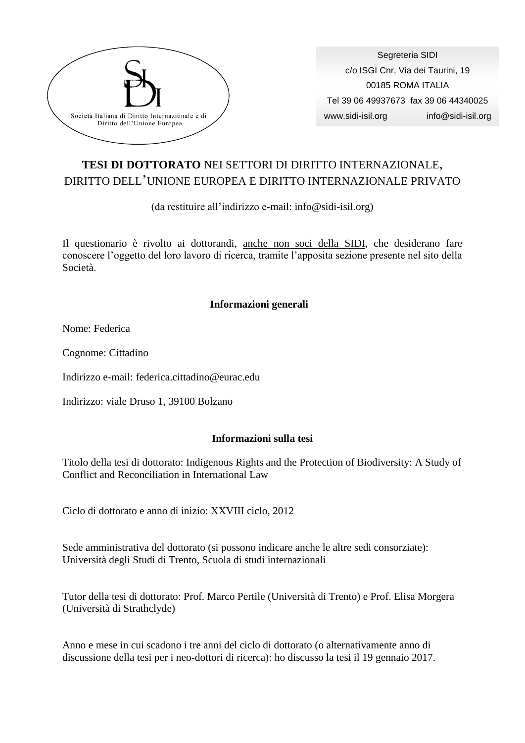

Segreteria SIDI c/o ISGI Cnr, Via dei Taurini, 19 00185 ROMA ITALIA Tel 39 06 49937673 fax 39 06 44340025 www.sidi-isil.org info@sidi-isil.org

## **TESI DI DOTTORATO** NEI SETTORI DI DIRITTO INTERNAZIONALE, DIRITTO DELL'UNIONE EUROPEA E DIRITTO INTERNAZIONALE PRIVATO

(da restituire all'indirizzo e-mail: info@sidi-isil.org)

Il questionario è rivolto ai dottorandi, anche non soci della SIDI, che desiderano fare conoscere l'oggetto del loro lavoro di ricerca, tramite l'apposita sezione presente nel sito della Società.

## **Informazioni generali**

Nome: Federica

Cognome: Cittadino

Indirizzo e-mail: federica.cittadino@eurac.edu

Indirizzo: viale Druso 1, 39100 Bolzano

## **Informazioni sulla tesi**

Titolo della tesi di dottorato: Indigenous Rights and the Protection of Biodiversity: A Study of Conflict and Reconciliation in International Law

Ciclo di dottorato e anno di inizio: XXVIII ciclo, 2012

Sede amministrativa del dottorato (si possono indicare anche le altre sedi consorziate): Università degli Studi di Trento, Scuola di studi internazionali

Tutor della tesi di dottorato: Prof. Marco Pertile (Università di Trento) e Prof. Elisa Morgera (Università di Strathclyde)

Anno e mese in cui scadono i tre anni del ciclo di dottorato (o alternativamente anno di discussione della tesi per i neo-dottori di ricerca): ho discusso la tesi il 19 gennaio 2017.